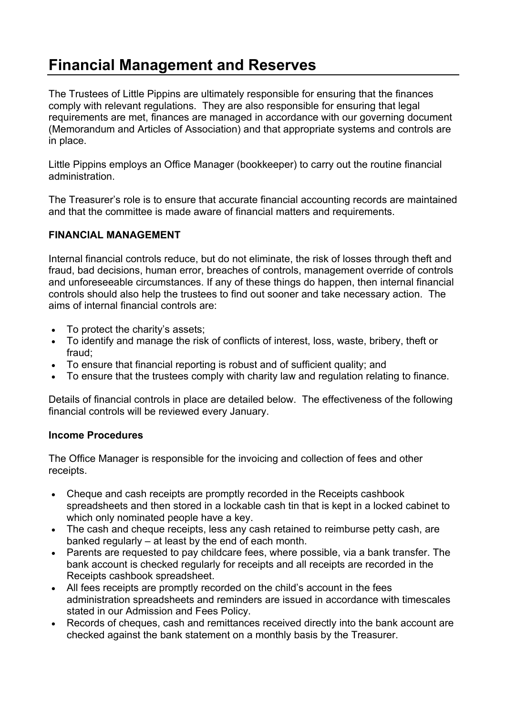# **Financial Management and Reserves**

The Trustees of Little Pippins are ultimately responsible for ensuring that the finances comply with relevant regulations. They are also responsible for ensuring that legal requirements are met, finances are managed in accordance with our governing document (Memorandum and Articles of Association) and that appropriate systems and controls are in place.

Little Pippins employs an Office Manager (bookkeeper) to carry out the routine financial administration.

The Treasurer's role is to ensure that accurate financial accounting records are maintained and that the committee is made aware of financial matters and requirements.

## **FINANCIAL MANAGEMENT**

Internal financial controls reduce, but do not eliminate, the risk of losses through theft and fraud, bad decisions, human error, breaches of controls, management override of controls and unforeseeable circumstances. If any of these things do happen, then internal financial controls should also help the trustees to find out sooner and take necessary action. The aims of internal financial controls are:

- To protect the charity's assets;
- To identify and manage the risk of conflicts of interest, loss, waste, bribery, theft or fraud;
- To ensure that financial reporting is robust and of sufficient quality; and
- To ensure that the trustees comply with charity law and regulation relating to finance.

Details of financial controls in place are detailed below. The effectiveness of the following financial controls will be reviewed every January.

#### **Income Procedures**

The Office Manager is responsible for the invoicing and collection of fees and other receipts.

- Cheque and cash receipts are promptly recorded in the Receipts cashbook spreadsheets and then stored in a lockable cash tin that is kept in a locked cabinet to which only nominated people have a key.
- The cash and cheque receipts, less any cash retained to reimburse petty cash, are banked regularly – at least by the end of each month.
- Parents are requested to pay childcare fees, where possible, via a bank transfer. The bank account is checked regularly for receipts and all receipts are recorded in the Receipts cashbook spreadsheet.
- All fees receipts are promptly recorded on the child's account in the fees administration spreadsheets and reminders are issued in accordance with timescales stated in our Admission and Fees Policy.
- Records of cheques, cash and remittances received directly into the bank account are checked against the bank statement on a monthly basis by the Treasurer.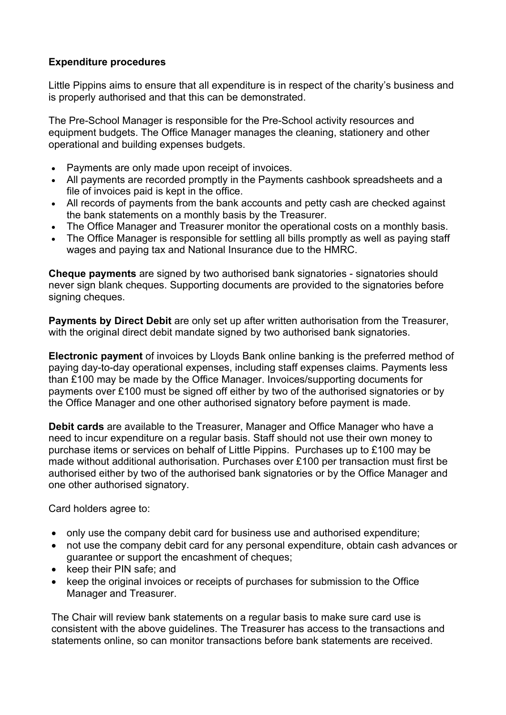## **Expenditure procedures**

Little Pippins aims to ensure that all expenditure is in respect of the charity's business and is properly authorised and that this can be demonstrated.

The Pre-School Manager is responsible for the Pre-School activity resources and equipment budgets. The Office Manager manages the cleaning, stationery and other operational and building expenses budgets.

- Payments are only made upon receipt of invoices.
- All payments are recorded promptly in the Payments cashbook spreadsheets and a file of invoices paid is kept in the office.
- All records of payments from the bank accounts and petty cash are checked against the bank statements on a monthly basis by the Treasurer.
- The Office Manager and Treasurer monitor the operational costs on a monthly basis.
- The Office Manager is responsible for settling all bills promptly as well as paying staff wages and paying tax and National Insurance due to the HMRC.

**Cheque payments** are signed by two authorised bank signatories - signatories should never sign blank cheques. Supporting documents are provided to the signatories before signing cheques.

**Payments by Direct Debit** are only set up after written authorisation from the Treasurer, with the original direct debit mandate signed by two authorised bank signatories.

**Electronic payment** of invoices by Lloyds Bank online banking is the preferred method of paying day-to-day operational expenses, including staff expenses claims. Payments less than £100 may be made by the Office Manager. Invoices/supporting documents for payments over £100 must be signed off either by two of the authorised signatories or by the Office Manager and one other authorised signatory before payment is made.

**Debit cards** are available to the Treasurer, Manager and Office Manager who have a need to incur expenditure on a regular basis. Staff should not use their own money to purchase items or services on behalf of Little Pippins. Purchases up to £100 may be made without additional authorisation. Purchases over £100 per transaction must first be authorised either by two of the authorised bank signatories or by the Office Manager and one other authorised signatory.

Card holders agree to:

- only use the company debit card for business use and authorised expenditure;
- not use the company debit card for any personal expenditure, obtain cash advances or guarantee or support the encashment of cheques;
- keep their PIN safe; and
- keep the original invoices or receipts of purchases for submission to the Office Manager and Treasurer.

The Chair will review bank statements on a regular basis to make sure card use is consistent with the above guidelines. The Treasurer has access to the transactions and statements online, so can monitor transactions before bank statements are received.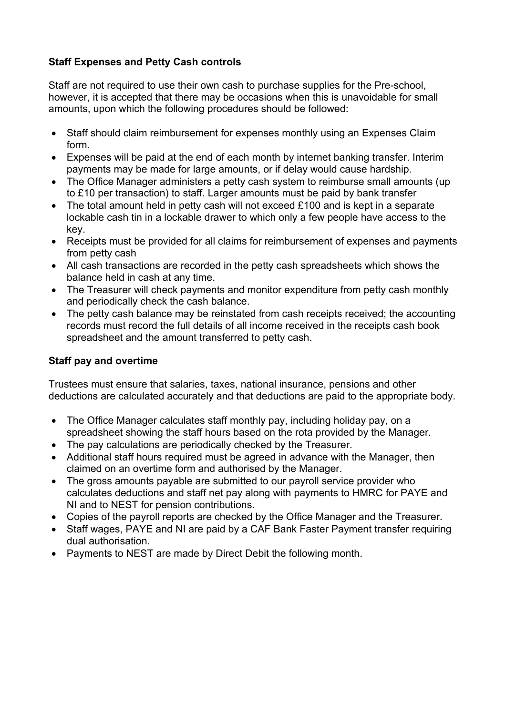# **Staff Expenses and Petty Cash controls**

Staff are not required to use their own cash to purchase supplies for the Pre-school, however, it is accepted that there may be occasions when this is unavoidable for small amounts, upon which the following procedures should be followed:

- Staff should claim reimbursement for expenses monthly using an Expenses Claim form.
- Expenses will be paid at the end of each month by internet banking transfer. Interim payments may be made for large amounts, or if delay would cause hardship.
- The Office Manager administers a petty cash system to reimburse small amounts (up to £10 per transaction) to staff. Larger amounts must be paid by bank transfer
- The total amount held in petty cash will not exceed £100 and is kept in a separate lockable cash tin in a lockable drawer to which only a few people have access to the key.
- Receipts must be provided for all claims for reimbursement of expenses and payments from petty cash
- All cash transactions are recorded in the petty cash spreadsheets which shows the balance held in cash at any time.
- The Treasurer will check payments and monitor expenditure from petty cash monthly and periodically check the cash balance.
- The petty cash balance may be reinstated from cash receipts received; the accounting records must record the full details of all income received in the receipts cash book spreadsheet and the amount transferred to petty cash.

# **Staff pay and overtime**

Trustees must ensure that salaries, taxes, national insurance, pensions and other deductions are calculated accurately and that deductions are paid to the appropriate body.

- The Office Manager calculates staff monthly pay, including holiday pay, on a spreadsheet showing the staff hours based on the rota provided by the Manager.
- The pay calculations are periodically checked by the Treasurer.
- Additional staff hours required must be agreed in advance with the Manager, then claimed on an overtime form and authorised by the Manager.
- The gross amounts payable are submitted to our payroll service provider who calculates deductions and staff net pay along with payments to HMRC for PAYE and NI and to NEST for pension contributions.
- Copies of the payroll reports are checked by the Office Manager and the Treasurer.
- Staff wages, PAYE and NI are paid by a CAF Bank Faster Payment transfer requiring dual authorisation.
- Payments to NEST are made by Direct Debit the following month.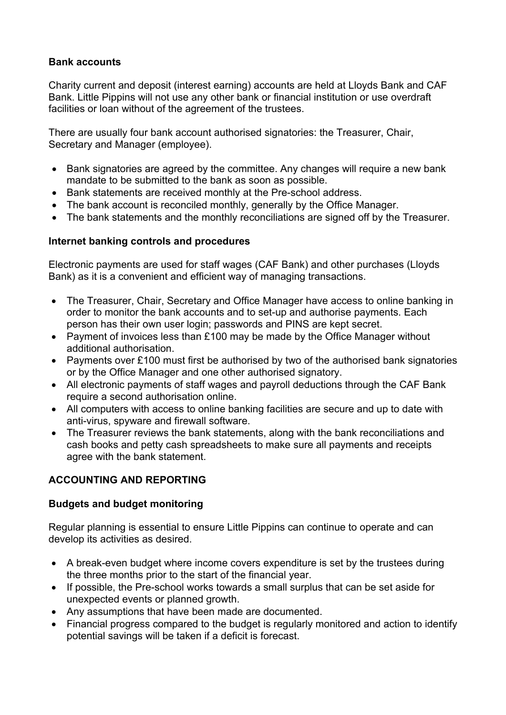## **Bank accounts**

Charity current and deposit (interest earning) accounts are held at Lloyds Bank and CAF Bank. Little Pippins will not use any other bank or financial institution or use overdraft facilities or loan without of the agreement of the trustees.

There are usually four bank account authorised signatories: the Treasurer, Chair, Secretary and Manager (employee).

- Bank signatories are agreed by the committee. Any changes will require a new bank mandate to be submitted to the bank as soon as possible.
- Bank statements are received monthly at the Pre-school address.
- The bank account is reconciled monthly, generally by the Office Manager.
- The bank statements and the monthly reconciliations are signed off by the Treasurer.

## **Internet banking controls and procedures**

Electronic payments are used for staff wages (CAF Bank) and other purchases (Lloyds Bank) as it is a convenient and efficient way of managing transactions.

- The Treasurer, Chair, Secretary and Office Manager have access to online banking in order to monitor the bank accounts and to set-up and authorise payments. Each person has their own user login; passwords and PINS are kept secret.
- Payment of invoices less than £100 may be made by the Office Manager without additional authorisation.
- Payments over £100 must first be authorised by two of the authorised bank signatories or by the Office Manager and one other authorised signatory.
- All electronic payments of staff wages and payroll deductions through the CAF Bank require a second authorisation online.
- All computers with access to online banking facilities are secure and up to date with anti-virus, spyware and firewall software.
- The Treasurer reviews the bank statements, along with the bank reconciliations and cash books and petty cash spreadsheets to make sure all payments and receipts agree with the bank statement.

# **ACCOUNTING AND REPORTING**

## **Budgets and budget monitoring**

Regular planning is essential to ensure Little Pippins can continue to operate and can develop its activities as desired.

- A break-even budget where income covers expenditure is set by the trustees during the three months prior to the start of the financial year.
- If possible, the Pre-school works towards a small surplus that can be set aside for unexpected events or planned growth.
- Any assumptions that have been made are documented.
- Financial progress compared to the budget is regularly monitored and action to identify potential savings will be taken if a deficit is forecast.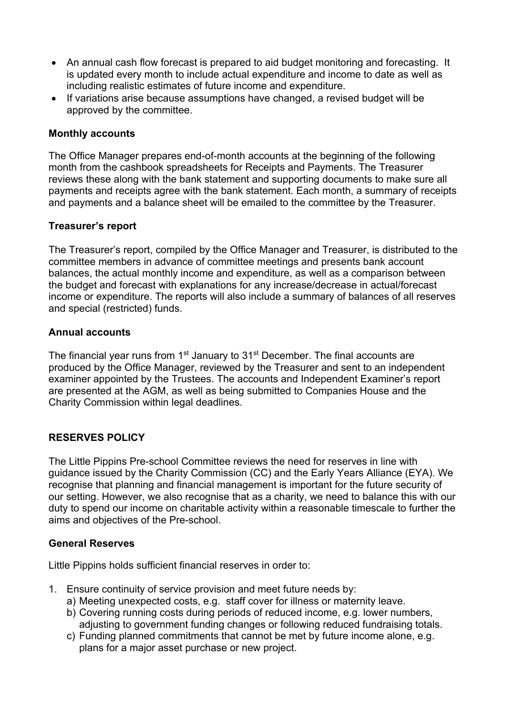- An annual cash flow forecast is prepared to aid budget monitoring and forecasting. It is updated every month to include actual expenditure and income to date as well as including realistic estimates of future income and expenditure.
- If variations arise because assumptions have changed, a revised budget will be approved by the committee.

#### **Monthly accounts**

The Office Manager prepares end-of-month accounts at the beginning of the following month from the cashbook spreadsheets for Receipts and Payments. The Treasurer reviews these along with the bank statement and supporting documents to make sure all payments and receipts agree with the bank statement. Each month, a summary of receipts and payments and a balance sheet will be emailed to the committee by the Treasurer.

## **Treasurer's report**

The Treasurer's report, compiled by the Office Manager and Treasurer, is distributed to the committee members in advance of committee meetings and presents bank account balances, the actual monthly income and expenditure, as well as a comparison between the budget and forecast with explanations for any increase/decrease in actual/forecast income or expenditure. The reports will also include a summary of balances of all reserves and special (restricted) funds.

#### **Annual accounts**

The financial year runs from 1<sup>st</sup> January to 31<sup>st</sup> December. The final accounts are produced by the Office Manager, reviewed by the Treasurer and sent to an independent examiner appointed by the Trustees. The accounts and Independent Examiner's report are presented at the AGM, as well as being submitted to Companies House and the Charity Commission within legal deadlines.

## **RESERVES POLICY**

The Little Pippins Pre-school Committee reviews the need for reserves in line with guidance issued by the Charity Commission (CC) and the Early Years Alliance (EYA). We recognise that planning and financial management is important for the future security of our setting. However, we also recognise that as a charity, we need to balance this with our duty to spend our income on charitable activity within a reasonable timescale to further the aims and objectives of the Pre-school.

#### **General Reserves**

Little Pippins holds sufficient financial reserves in order to:

- 1. Ensure continuity of service provision and meet future needs by:
	- a) Meeting unexpected costs, e.g. staff cover for illness or maternity leave.
	- b) Covering running costs during periods of reduced income, e.g. lower numbers, adjusting to government funding changes or following reduced fundraising totals.
	- c) Funding planned commitments that cannot be met by future income alone, e.g. plans for a major asset purchase or new project.